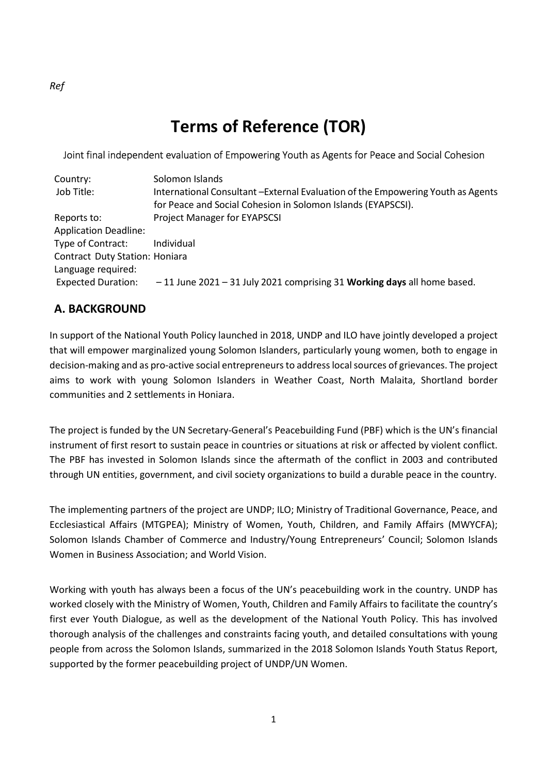# **Terms of Reference (TOR)**

# Joint final independent evaluation of Empowering Youth as Agents for Peace and Social Cohesion

| Country:                              | Solomon Islands                                                                 |
|---------------------------------------|---------------------------------------------------------------------------------|
| Job Title:                            | International Consultant -External Evaluation of the Empowering Youth as Agents |
|                                       | for Peace and Social Cohesion in Solomon Islands (EYAPSCSI).                    |
| Reports to:                           | <b>Project Manager for EYAPSCSI</b>                                             |
| <b>Application Deadline:</b>          |                                                                                 |
| Type of Contract:                     | Individual                                                                      |
| <b>Contract Duty Station: Honiara</b> |                                                                                 |
| Language required:                    |                                                                                 |
| <b>Expected Duration:</b>             | $-11$ June 2021 - 31 July 2021 comprising 31 Working days all home based.       |

# **A. BACKGROUND**

In support of the National Youth Policy launched in 2018, UNDP and ILO have jointly developed a project that will empower marginalized young Solomon Islanders, particularly young women, both to engage in decision-making and as pro-active social entrepreneurs to address local sources of grievances. The project aims to work with young Solomon Islanders in Weather Coast, North Malaita, Shortland border communities and 2 settlements in Honiara.

The project is funded by the UN Secretary-General's Peacebuilding Fund (PBF) which is the UN's financial instrument of first resort to sustain peace in countries or situations at risk or affected by violent conflict. The PBF has invested in Solomon Islands since the aftermath of the conflict in 2003 and contributed through UN entities, government, and civil society organizations to build a durable peace in the country.

The implementing partners of the project are UNDP; ILO; Ministry of Traditional Governance, Peace, and Ecclesiastical Affairs (MTGPEA); Ministry of Women, Youth, Children, and Family Affairs (MWYCFA); Solomon Islands Chamber of Commerce and Industry/Young Entrepreneurs' Council; Solomon Islands Women in Business Association; and World Vision.

Working with youth has always been a focus of the UN's peacebuilding work in the country. UNDP has worked closely with the Ministry of Women, Youth, Children and Family Affairs to facilitate the country's first ever Youth Dialogue, as well as the development of the National Youth Policy. This has involved thorough analysis of the challenges and constraints facing youth, and detailed consultations with young people from across the Solomon Islands, summarized in the 2018 Solomon Islands Youth Status Report, supported by the former peacebuilding project of UNDP/UN Women.

*Ref*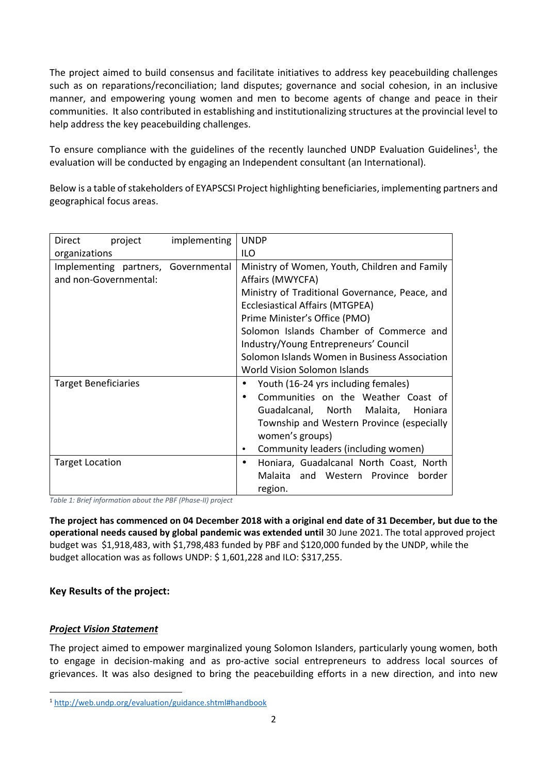The project aimed to build consensus and facilitate initiatives to address key peacebuilding challenges such as on reparations/reconciliation; land disputes; governance and social cohesion, in an inclusive manner, and empowering young women and men to become agents of change and peace in their communities. It also contributed in establishing and institutionalizing structures at the provincial level to help address the key peacebuilding challenges.

To ensure compliance with the guidelines of the recently launched UNDP Evaluation Guidelines<sup>1</sup>, the evaluation will be conducted by engaging an Independent consultant (an International).

Below is a table of stakeholders of EYAPSCSI Project highlighting beneficiaries, implementing partners and geographical focus areas.

| Direct<br>project                   | implementing | <b>UNDP</b>                                    |  |
|-------------------------------------|--------------|------------------------------------------------|--|
| organizations                       |              | ILO                                            |  |
| Implementing partners, Governmental |              | Ministry of Women, Youth, Children and Family  |  |
| and non-Governmental:               |              | Affairs (MWYCFA)                               |  |
|                                     |              | Ministry of Traditional Governance, Peace, and |  |
|                                     |              | <b>Ecclesiastical Affairs (MTGPEA)</b>         |  |
|                                     |              | Prime Minister's Office (PMO)                  |  |
|                                     |              | Solomon Islands Chamber of Commerce and        |  |
|                                     |              | Industry/Young Entrepreneurs' Council          |  |
|                                     |              | Solomon Islands Women in Business Association  |  |
|                                     |              | World Vision Solomon Islands                   |  |
| <b>Target Beneficiaries</b>         |              | Youth (16-24 yrs including females)            |  |
|                                     |              | Communities on the Weather Coast of            |  |
|                                     |              | Guadalcanal, North Malaita, Honiara            |  |
|                                     |              | Township and Western Province (especially      |  |
|                                     |              | women's groups)                                |  |
|                                     |              | Community leaders (including women)            |  |
| <b>Target Location</b>              |              | Honiara, Guadalcanal North Coast, North        |  |
|                                     |              | Malaita and Western Province border            |  |
|                                     |              | region.                                        |  |

*Table 1: Brief information about the PBF (Phase-II) project* 

**The project has commenced on 04 December 2018 with a original end date of 31 December, but due to the operational needs caused by global pandemic was extended until** 30 June 2021. The total approved project budget was \$1,918,483, with \$1,798,483 funded by PBF and \$120,000 funded by the UNDP, while the budget allocation was as follows UNDP: \$ 1,601,228 and ILO: \$317,255.

# **Key Results of the project:**

# *Project Vision Statement*

l

The project aimed to empower marginalized young Solomon Islanders, particularly young women, both to engage in decision-making and as pro-active social entrepreneurs to address local sources of grievances. It was also designed to bring the peacebuilding efforts in a new direction, and into new

<sup>1</sup> http://web.undp.org/evaluation/guidance.shtml#handbook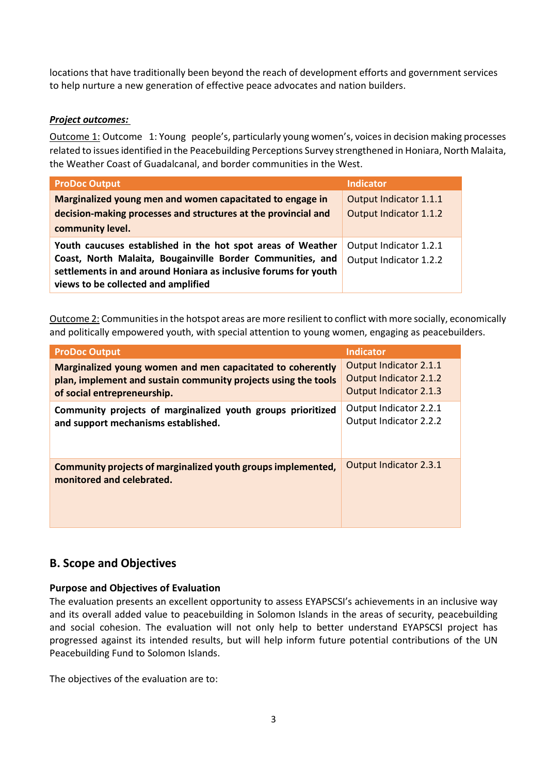locations that have traditionally been beyond the reach of development efforts and government services to help nurture a new generation of effective peace advocates and nation builders.

### *Project outcomes:*

Outcome 1: Outcome 1: Young people's, particularly young women's, voices in decision making processes related to issues identified in the Peacebuilding Perceptions Survey strengthened in Honiara, North Malaita, the Weather Coast of Guadalcanal, and border communities in the West.

| <b>ProDoc Output</b>                                            | <b>Indicator</b>       |
|-----------------------------------------------------------------|------------------------|
| Marginalized young men and women capacitated to engage in       | Output Indicator 1.1.1 |
| decision-making processes and structures at the provincial and  | Output Indicator 1.1.2 |
| community level.                                                |                        |
| Youth caucuses established in the hot spot areas of Weather     | Output Indicator 1.2.1 |
| Coast, North Malaita, Bougainville Border Communities, and      | Output Indicator 1.2.2 |
| settlements in and around Honiara as inclusive forums for youth |                        |
| views to be collected and amplified                             |                        |

Outcome 2: Communities in the hotspot areas are more resilient to conflict with more socially, economically and politically empowered youth, with special attention to young women, engaging as peacebuilders.

| <b>ProDoc Output</b>                                                                      | <b>Indicator</b>       |
|-------------------------------------------------------------------------------------------|------------------------|
| Marginalized young women and men capacitated to coherently                                | Output Indicator 2.1.1 |
| plan, implement and sustain community projects using the tools                            | Output Indicator 2.1.2 |
| of social entrepreneurship.                                                               | Output Indicator 2.1.3 |
| Community projects of marginalized youth groups prioritized                               | Output Indicator 2.2.1 |
| and support mechanisms established.                                                       | Output Indicator 2.2.2 |
| Community projects of marginalized youth groups implemented,<br>monitored and celebrated. | Output Indicator 2.3.1 |

# **B. Scope and Objectives**

# **Purpose and Objectives of Evaluation**

The evaluation presents an excellent opportunity to assess EYAPSCSI's achievements in an inclusive way and its overall added value to peacebuilding in Solomon Islands in the areas of security, peacebuilding and social cohesion. The evaluation will not only help to better understand EYAPSCSI project has progressed against its intended results, but will help inform future potential contributions of the UN Peacebuilding Fund to Solomon Islands.

The objectives of the evaluation are to: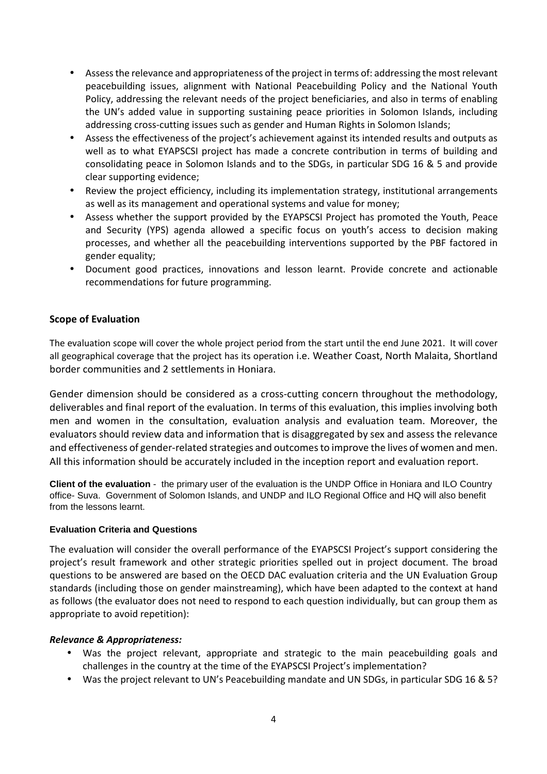- Assess the relevance and appropriateness of the project in terms of: addressing the most relevant peacebuilding issues, alignment with National Peacebuilding Policy and the National Youth Policy, addressing the relevant needs of the project beneficiaries, and also in terms of enabling the UN's added value in supporting sustaining peace priorities in Solomon Islands, including addressing cross-cutting issues such as gender and Human Rights in Solomon Islands;
- Assess the effectiveness of the project's achievement against its intended results and outputs as well as to what EYAPSCSI project has made a concrete contribution in terms of building and consolidating peace in Solomon Islands and to the SDGs, in particular SDG 16 & 5 and provide clear supporting evidence;
- Review the project efficiency, including its implementation strategy, institutional arrangements as well as its management and operational systems and value for money;
- Assess whether the support provided by the EYAPSCSI Project has promoted the Youth, Peace and Security (YPS) agenda allowed a specific focus on youth's access to decision making processes, and whether all the peacebuilding interventions supported by the PBF factored in gender equality;
- Document good practices, innovations and lesson learnt. Provide concrete and actionable recommendations for future programming.

### **Scope of Evaluation**

The evaluation scope will cover the whole project period from the start until the end June 2021. It will cover all geographical coverage that the project has its operation i.e. Weather Coast, North Malaita, Shortland border communities and 2 settlements in Honiara.

Gender dimension should be considered as a cross-cutting concern throughout the methodology, deliverables and final report of the evaluation. In terms of this evaluation, this implies involving both men and women in the consultation, evaluation analysis and evaluation team. Moreover, the evaluators should review data and information that is disaggregated by sex and assess the relevance and effectiveness of gender-related strategies and outcomes to improve the lives of women and men. All this information should be accurately included in the inception report and evaluation report.

**Client of the evaluation** - the primary user of the evaluation is the UNDP Office in Honiara and ILO Country office- Suva. Government of Solomon Islands, and UNDP and ILO Regional Office and HQ will also benefit from the lessons learnt.

### **Evaluation Criteria and Questions**

The evaluation will consider the overall performance of the EYAPSCSI Project's support considering the project's result framework and other strategic priorities spelled out in project document. The broad questions to be answered are based on the OECD DAC evaluation criteria and the UN Evaluation Group standards (including those on gender mainstreaming), which have been adapted to the context at hand as follows (the evaluator does not need to respond to each question individually, but can group them as appropriate to avoid repetition):

### *Relevance & Appropriateness:*

- Was the project relevant, appropriate and strategic to the main peacebuilding goals and challenges in the country at the time of the EYAPSCSI Project's implementation?
- Was the project relevant to UN's Peacebuilding mandate and UN SDGs, in particular SDG 16 & 5?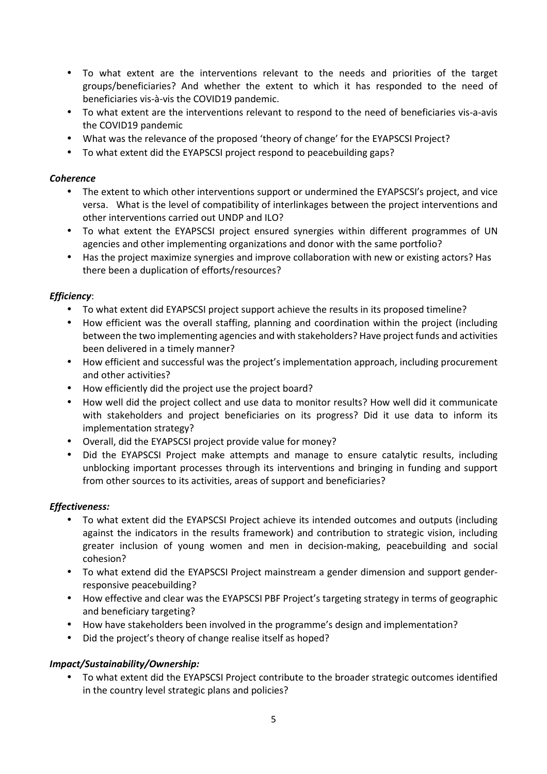- To what extent are the interventions relevant to the needs and priorities of the target groups/beneficiaries? And whether the extent to which it has responded to the need of beneficiaries vis-à-vis the COVID19 pandemic.
- To what extent are the interventions relevant to respond to the need of beneficiaries vis-a-avis the COVID19 pandemic
- What was the relevance of the proposed 'theory of change' for the EYAPSCSI Project?
- To what extent did the EYAPSCSI project respond to peacebuilding gaps?

### *Coherence*

- The extent to which other interventions support or undermined the EYAPSCSI's project, and vice versa. What is the level of compatibility of interlinkages between the project interventions and other interventions carried out UNDP and ILO?
- To what extent the EYAPSCSI project ensured synergies within different programmes of UN agencies and other implementing organizations and donor with the same portfolio?
- Has the project maximize synergies and improve collaboration with new or existing actors? Has there been a duplication of efforts/resources?

# *Efficiency*:

- To what extent did EYAPSCSI project support achieve the results in its proposed timeline?
- How efficient was the overall staffing, planning and coordination within the project (including between the two implementing agencies and with stakeholders? Have project funds and activities been delivered in a timely manner?
- How efficient and successful was the project's implementation approach, including procurement and other activities?
- How efficiently did the project use the project board?
- How well did the project collect and use data to monitor results? How well did it communicate with stakeholders and project beneficiaries on its progress? Did it use data to inform its implementation strategy?
- Overall, did the EYAPSCSI project provide value for money?
- Did the EYAPSCSI Project make attempts and manage to ensure catalytic results, including unblocking important processes through its interventions and bringing in funding and support from other sources to its activities, areas of support and beneficiaries?

# *Effectiveness:*

- To what extent did the EYAPSCSI Project achieve its intended outcomes and outputs (including against the indicators in the results framework) and contribution to strategic vision, including greater inclusion of young women and men in decision-making, peacebuilding and social cohesion?
- To what extend did the EYAPSCSI Project mainstream a gender dimension and support genderresponsive peacebuilding?
- How effective and clear was the EYAPSCSI PBF Project's targeting strategy in terms of geographic and beneficiary targeting?
- How have stakeholders been involved in the programme's design and implementation?
- Did the project's theory of change realise itself as hoped?

# *Impact/Sustainability/Ownership:*

• To what extent did the EYAPSCSI Project contribute to the broader strategic outcomes identified in the country level strategic plans and policies?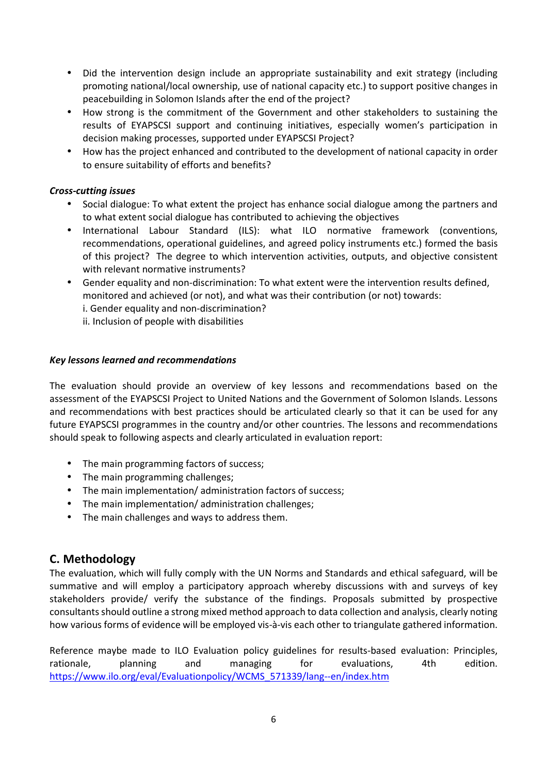- Did the intervention design include an appropriate sustainability and exit strategy (including promoting national/local ownership, use of national capacity etc.) to support positive changes in peacebuilding in Solomon Islands after the end of the project?
- How strong is the commitment of the Government and other stakeholders to sustaining the results of EYAPSCSI support and continuing initiatives, especially women's participation in decision making processes, supported under EYAPSCSI Project?
- How has the project enhanced and contributed to the development of national capacity in order to ensure suitability of efforts and benefits?

### *Cross-cutting issues*

- Social dialogue: To what extent the project has enhance social dialogue among the partners and to what extent social dialogue has contributed to achieving the objectives
- International Labour Standard (ILS): what ILO normative framework (conventions, recommendations, operational guidelines, and agreed policy instruments etc.) formed the basis of this project? The degree to which intervention activities, outputs, and objective consistent with relevant normative instruments?
- Gender equality and non-discrimination: To what extent were the intervention results defined, monitored and achieved (or not), and what was their contribution (or not) towards:
	- i. Gender equality and non-discrimination?
	- ii. Inclusion of people with disabilities

### *Key lessons learned and recommendations*

The evaluation should provide an overview of key lessons and recommendations based on the assessment of the EYAPSCSI Project to United Nations and the Government of Solomon Islands. Lessons and recommendations with best practices should be articulated clearly so that it can be used for any future EYAPSCSI programmes in the country and/or other countries. The lessons and recommendations should speak to following aspects and clearly articulated in evaluation report:

- The main programming factors of success;
- The main programming challenges;
- The main implementation/ administration factors of success;
- The main implementation/ administration challenges;
- The main challenges and ways to address them.

# **C. Methodology**

The evaluation, which will fully comply with the UN Norms and Standards and ethical safeguard, will be summative and will employ a participatory approach whereby discussions with and surveys of key stakeholders provide/ verify the substance of the findings. Proposals submitted by prospective consultants should outline a strong mixed method approach to data collection and analysis, clearly noting how various forms of evidence will be employed vis-à-vis each other to triangulate gathered information.

Reference maybe made to ILO Evaluation policy guidelines for results-based evaluation: Principles, rationale, planning and managing for evaluations, 4th edition. https://www.ilo.org/eval/Evaluationpolicy/WCMS\_571339/lang--en/index.htm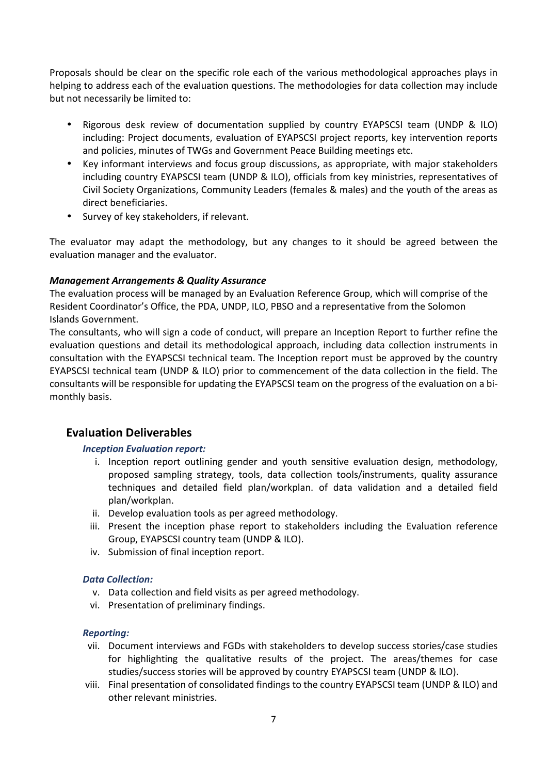Proposals should be clear on the specific role each of the various methodological approaches plays in helping to address each of the evaluation questions. The methodologies for data collection may include but not necessarily be limited to:

- Rigorous desk review of documentation supplied by country EYAPSCSI team (UNDP & ILO) including: Project documents, evaluation of EYAPSCSI project reports, key intervention reports and policies, minutes of TWGs and Government Peace Building meetings etc.
- Key informant interviews and focus group discussions, as appropriate, with major stakeholders including country EYAPSCSI team (UNDP & ILO), officials from key ministries, representatives of Civil Society Organizations, Community Leaders (females & males) and the youth of the areas as direct beneficiaries.
- Survey of key stakeholders, if relevant.

The evaluator may adapt the methodology, but any changes to it should be agreed between the evaluation manager and the evaluator.

### *Management Arrangements & Quality Assurance*

The evaluation process will be managed by an Evaluation Reference Group, which will comprise of the Resident Coordinator's Office, the PDA, UNDP, ILO, PBSO and a representative from the Solomon Islands Government.

The consultants, who will sign a code of conduct, will prepare an Inception Report to further refine the evaluation questions and detail its methodological approach, including data collection instruments in consultation with the EYAPSCSI technical team. The Inception report must be approved by the country EYAPSCSI technical team (UNDP & ILO) prior to commencement of the data collection in the field. The consultants will be responsible for updating the EYAPSCSI team on the progress of the evaluation on a bimonthly basis.

# **Evaluation Deliverables**

### *Inception Evaluation report:*

- i. Inception report outlining gender and youth sensitive evaluation design, methodology, proposed sampling strategy, tools, data collection tools/instruments, quality assurance techniques and detailed field plan/workplan. of data validation and a detailed field plan/workplan.
- ii. Develop evaluation tools as per agreed methodology.
- iii. Present the inception phase report to stakeholders including the Evaluation reference Group, EYAPSCSI country team (UNDP & ILO).
- iv. Submission of final inception report.

### *Data Collection:*

- v. Data collection and field visits as per agreed methodology.
- vi. Presentation of preliminary findings.

### *Reporting:*

- vii. Document interviews and FGDs with stakeholders to develop success stories/case studies for highlighting the qualitative results of the project. The areas/themes for case studies/success stories will be approved by country EYAPSCSI team (UNDP & ILO).
- viii. Final presentation of consolidated findings to the country EYAPSCSI team (UNDP & ILO) and other relevant ministries.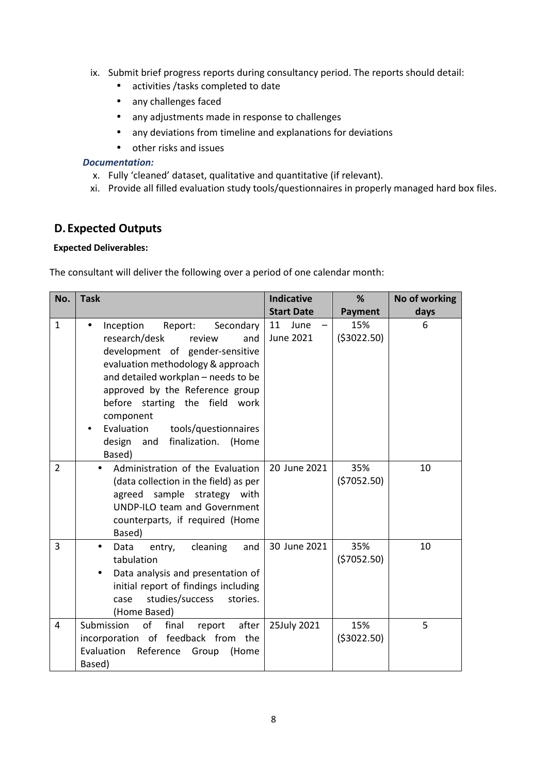- ix. Submit brief progress reports during consultancy period. The reports should detail:
	- activities /tasks completed to date
	- any challenges faced
	- any adjustments made in response to challenges
	- any deviations from timeline and explanations for deviations
	- other risks and issues

#### *Documentation:*

- x. Fully 'cleaned' dataset, qualitative and quantitative (if relevant).
- xi. Provide all filled evaluation study tools/questionnaires in properly managed hard box files.

# **D.Expected Outputs**

#### **Expected Deliverables:**

The consultant will deliver the following over a period of one calendar month:

| No.            | <b>Task</b>                                                                                                                                                                                                                                                                                                                                                            | <b>Indicative</b>       | %                   | No of working |
|----------------|------------------------------------------------------------------------------------------------------------------------------------------------------------------------------------------------------------------------------------------------------------------------------------------------------------------------------------------------------------------------|-------------------------|---------------------|---------------|
|                |                                                                                                                                                                                                                                                                                                                                                                        | <b>Start Date</b>       | <b>Payment</b>      | days          |
| $\mathbf{1}$   | Inception<br>Report:<br>Secondary<br>$\bullet$<br>research/desk<br>review<br>and<br>development of gender-sensitive<br>evaluation methodology & approach<br>and detailed workplan - needs to be<br>approved by the Reference group<br>before starting the field work<br>component<br>Evaluation<br>tools/questionnaires<br>finalization. (Home<br>design and<br>Based) | 11<br>June<br>June 2021 | 15%<br>( \$3022.50) | 6             |
| $\overline{2}$ | Administration of the Evaluation<br>(data collection in the field) as per<br>agreed sample strategy<br>with<br><b>UNDP-ILO team and Government</b><br>counterparts, if required (Home<br>Based)                                                                                                                                                                        | 20 June 2021            | 35%<br>(57052.50)   | 10            |
| 3              | cleaning<br>and<br>Data<br>entry,<br>$\bullet$<br>tabulation<br>Data analysis and presentation of<br>initial report of findings including<br>studies/success<br>stories.<br>case<br>(Home Based)                                                                                                                                                                       | 30 June 2021            | 35%<br>(57052.50)   | 10            |
| 4              | of<br>Submission<br>final<br>report after<br>incorporation of feedback from the<br>Evaluation<br>Reference<br>Group<br>(Home<br>Based)                                                                                                                                                                                                                                 | 25July 2021             | 15%<br>( \$3022.50) | 5             |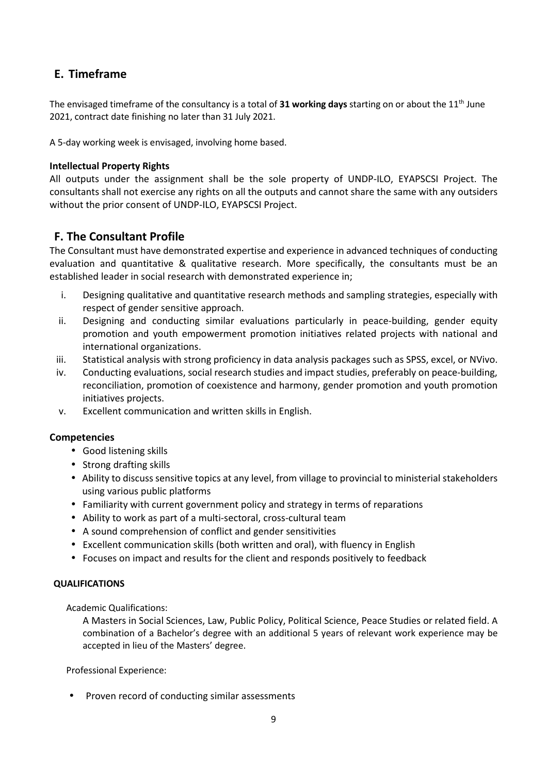# **E. Timeframe**

The envisaged timeframe of the consultancy is a total of **31 working days** starting on or about the 11th June 2021, contract date finishing no later than 31 July 2021.

A 5-day working week is envisaged, involving home based.

#### **Intellectual Property Rights**

All outputs under the assignment shall be the sole property of UNDP-ILO, EYAPSCSI Project. The consultants shall not exercise any rights on all the outputs and cannot share the same with any outsiders without the prior consent of UNDP-ILO, EYAPSCSI Project.

# **F. The Consultant Profile**

The Consultant must have demonstrated expertise and experience in advanced techniques of conducting evaluation and quantitative & qualitative research. More specifically, the consultants must be an established leader in social research with demonstrated experience in;

- i. Designing qualitative and quantitative research methods and sampling strategies, especially with respect of gender sensitive approach.
- ii. Designing and conducting similar evaluations particularly in peace-building, gender equity promotion and youth empowerment promotion initiatives related projects with national and international organizations.
- iii. Statistical analysis with strong proficiency in data analysis packages such as SPSS, excel, or NVivo.
- iv. Conducting evaluations, social research studies and impact studies, preferably on peace-building, reconciliation, promotion of coexistence and harmony, gender promotion and youth promotion initiatives projects.
- v. Excellent communication and written skills in English.

### **Competencies**

- Good listening skills
- Strong drafting skills
- Ability to discuss sensitive topics at any level, from village to provincial to ministerial stakeholders using various public platforms
- Familiarity with current government policy and strategy in terms of reparations
- Ability to work as part of a multi-sectoral, cross-cultural team
- A sound comprehension of conflict and gender sensitivities
- Excellent communication skills (both written and oral), with fluency in English
- Focuses on impact and results for the client and responds positively to feedback

#### **QUALIFICATIONS**

Academic Qualifications:

A Masters in Social Sciences, Law, Public Policy, Political Science, Peace Studies or related field. A combination of a Bachelor's degree with an additional 5 years of relevant work experience may be accepted in lieu of the Masters' degree.

Professional Experience:

• Proven record of conducting similar assessments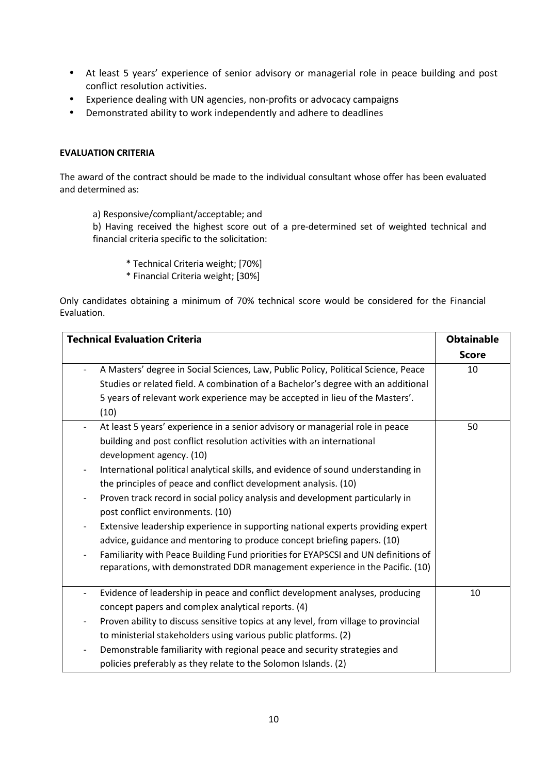- At least 5 years' experience of senior advisory or managerial role in peace building and post conflict resolution activities.
- Experience dealing with UN agencies, non-profits or advocacy campaigns
- Demonstrated ability to work independently and adhere to deadlines

#### **EVALUATION CRITERIA**

The award of the contract should be made to the individual consultant whose offer has been evaluated and determined as:

a) Responsive/compliant/acceptable; and

b) Having received the highest score out of a pre-determined set of weighted technical and financial criteria specific to the solicitation:

- \* Technical Criteria weight; [70%]
- \* Financial Criteria weight; [30%]

Only candidates obtaining a minimum of 70% technical score would be considered for the Financial Evaluation.

| <b>Technical Evaluation Criteria</b>                                                                      | <b>Obtainable</b> |
|-----------------------------------------------------------------------------------------------------------|-------------------|
|                                                                                                           | <b>Score</b>      |
| A Masters' degree in Social Sciences, Law, Public Policy, Political Science, Peace                        | 10                |
| Studies or related field. A combination of a Bachelor's degree with an additional                         |                   |
| 5 years of relevant work experience may be accepted in lieu of the Masters'.<br>(10)                      |                   |
| At least 5 years' experience in a senior advisory or managerial role in peace<br>$\overline{\phantom{a}}$ | 50                |
| building and post conflict resolution activities with an international                                    |                   |
| development agency. (10)                                                                                  |                   |
| International political analytical skills, and evidence of sound understanding in                         |                   |
| the principles of peace and conflict development analysis. (10)                                           |                   |
| Proven track record in social policy analysis and development particularly in                             |                   |
| post conflict environments. (10)                                                                          |                   |
| Extensive leadership experience in supporting national experts providing expert                           |                   |
| advice, guidance and mentoring to produce concept briefing papers. (10)                                   |                   |
| Familiarity with Peace Building Fund priorities for EYAPSCSI and UN definitions of                        |                   |
| reparations, with demonstrated DDR management experience in the Pacific. (10)                             |                   |
| Evidence of leadership in peace and conflict development analyses, producing<br>$\overline{\phantom{a}}$  | 10                |
| concept papers and complex analytical reports. (4)                                                        |                   |
| Proven ability to discuss sensitive topics at any level, from village to provincial                       |                   |
| to ministerial stakeholders using various public platforms. (2)                                           |                   |
| Demonstrable familiarity with regional peace and security strategies and                                  |                   |
| policies preferably as they relate to the Solomon Islands. (2)                                            |                   |